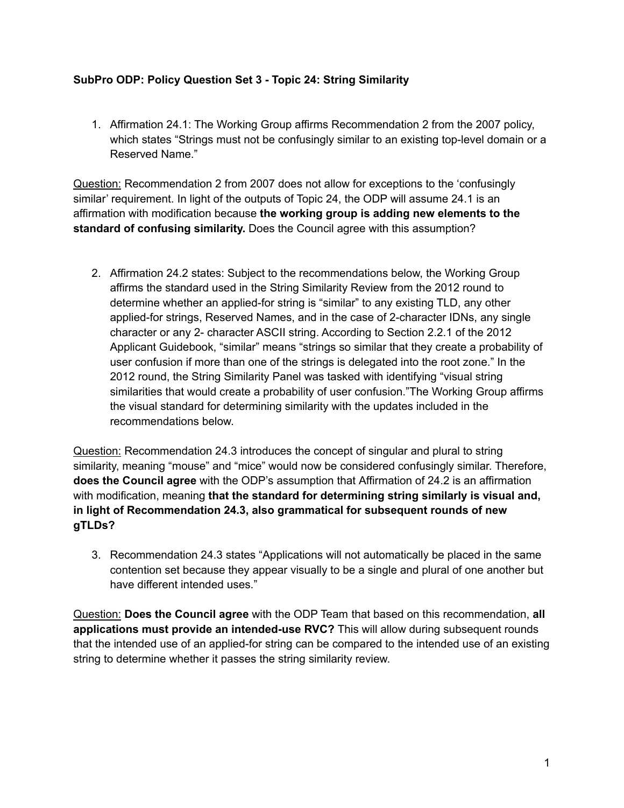## **SubPro ODP: Policy Question Set 3 - Topic 24: String Similarity**

1. Affirmation 24.1: The Working Group affirms Recommendation 2 from the 2007 policy, which states "Strings must not be confusingly similar to an existing top-level domain or a Reserved Name."

Question: Recommendation 2 from 2007 does not allow for exceptions to the 'confusingly similar' requirement. In light of the outputs of Topic 24, the ODP will assume 24.1 is an affirmation with modification because **the working group is adding new elements to the standard of confusing similarity.** Does the Council agree with this assumption?

2. Affirmation 24.2 states: Subject to the recommendations below, the Working Group affirms the standard used in the String Similarity Review from the 2012 round to determine whether an applied-for string is "similar" to any existing TLD, any other applied-for strings, Reserved Names, and in the case of 2-character IDNs, any single character or any 2- character ASCII string. According to Section 2.2.1 of the 2012 Applicant Guidebook, "similar" means "strings so similar that they create a probability of user confusion if more than one of the strings is delegated into the root zone." In the 2012 round, the String Similarity Panel was tasked with identifying "visual string similarities that would create a probability of user confusion."The Working Group affirms the visual standard for determining similarity with the updates included in the recommendations below.

Question: Recommendation 24.3 introduces the concept of singular and plural to string similarity, meaning "mouse" and "mice" would now be considered confusingly similar. Therefore, **does the Council agree** with the ODP's assumption that Affirmation of 24.2 is an affirmation with modification, meaning **that the standard for determining string similarly is visual and, in light of Recommendation 24.3, also grammatical for subsequent rounds of new gTLDs?**

3. Recommendation 24.3 states "Applications will not automatically be placed in the same contention set because they appear visually to be a single and plural of one another but have different intended uses."

Question: **Does the Council agree** with the ODP Team that based on this recommendation, **all applications must provide an intended-use RVC?** This will allow during subsequent rounds that the intended use of an applied-for string can be compared to the intended use of an existing string to determine whether it passes the string similarity review.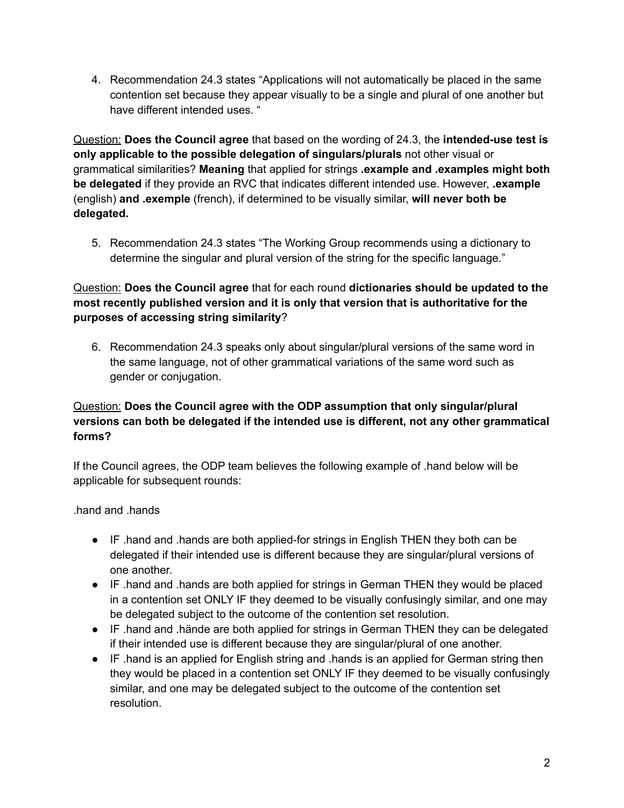4. Recommendation 24.3 states "Applications will not automatically be placed in the same contention set because they appear visually to be a single and plural of one another but have different intended uses. "

Question: **Does the Council agree** that based on the wording of 24.3, the **intended-use test is only applicable to the possible delegation of singulars/plurals** not other visual or grammatical similarities? **Meaning** that applied for strings **.example and .examples might both be delegated** if they provide an RVC that indicates different intended use. However, **.example** (english) **and .exemple** (french), if determined to be visually similar, **will never both be delegated.**

5. Recommendation 24.3 states "The Working Group recommends using a dictionary to determine the singular and plural version of the string for the specific language."

## Question: **Does the Council agree** that for each round **dictionaries should be updated to the most recently published version and it is only that version that is authoritative for the purposes of accessing string similarity**?

6. Recommendation 24.3 speaks only about singular/plural versions of the same word in the same language, not of other grammatical variations of the same word such as gender or conjugation.

## Question: **Does the Council agree with the ODP assumption that only singular/plural versions can both be delegated if the intended use is different, not any other grammatical forms?**

If the Council agrees, the ODP team believes the following example of .hand below will be applicable for subsequent rounds:

## .hand and .hands

- IF .hand and .hands are both applied-for strings in English THEN they both can be delegated if their intended use is different because they are singular/plural versions of one another.
- IF .hand and .hands are both applied for strings in German THEN they would be placed in a contention set ONLY IF they deemed to be visually confusingly similar, and one may be delegated subject to the outcome of the contention set resolution.
- IF .hand and .hände are both applied for strings in German THEN they can be delegated if their intended use is different because they are singular/plural of one another.
- IF .hand is an applied for English string and .hands is an applied for German string then they would be placed in a contention set ONLY IF they deemed to be visually confusingly similar, and one may be delegated subject to the outcome of the contention set resolution.